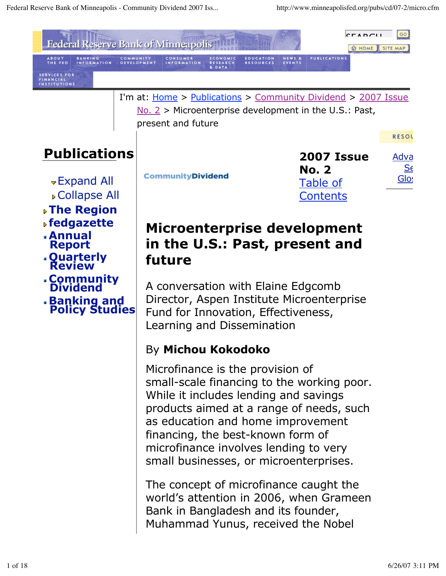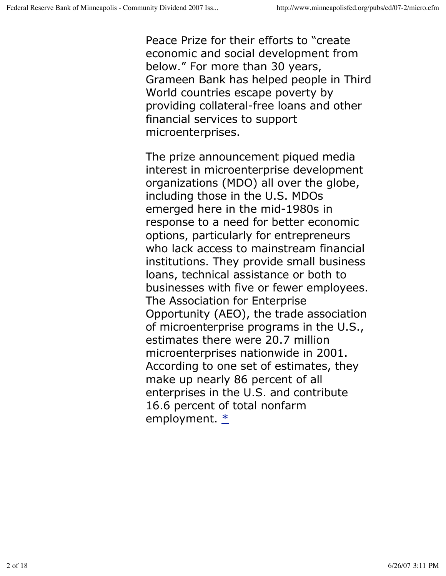Peace Prize for their efforts to "create economic and social development from below." For more than 30 years, Grameen Bank has helped people in Third World countries escape poverty by providing collateral-free loans and other financial services to support microenterprises.

The prize announcement piqued media interest in microenterprise development organizations (MDO) all over the globe, including those in the U.S. MDOs emerged here in the mid-1980s in response to a need for better economic options, particularly for entrepreneurs who lack access to mainstream financial institutions. They provide small business loans, technical assistance or both to businesses with five or fewer employees. The Association for Enterprise Opportunity (AEO), the trade association of microenterprise programs in the U.S., estimates there were 20.7 million microenterprises nationwide in 2001. According to one set of estimates, they make up nearly 86 percent of all enterprises in the U.S. and contribute 16.6 percent of total nonfarm employment.  $*$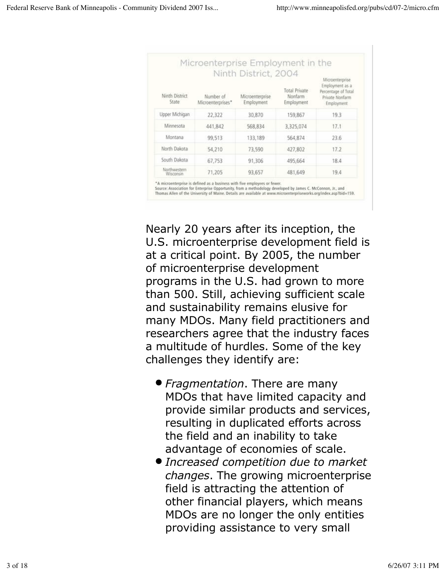| Ninth District<br>State   | Number of<br>Microenterprises* | Ninth District, 2004<br>Microenterprise<br>Employment | Total Private<br>Nonfarm<br>Employment | Microenterprise<br>Employment as a<br>Percentage of Total<br>Private Nonfarm<br>Employment |
|---------------------------|--------------------------------|-------------------------------------------------------|----------------------------------------|--------------------------------------------------------------------------------------------|
| Upper Michigan            | 22,322                         | 30,870                                                | 159,867                                | 19.3                                                                                       |
| Minnesota                 | 441,842                        | 568,834                                               | 3,325,074                              | 17.1                                                                                       |
| Montana                   | 99,513                         | 133,189                                               | 564,874                                | 23.6                                                                                       |
| North Dakota              | 54,210                         | 73,590                                                | 427,802                                | 17.2                                                                                       |
| South Dakota              | 67,753                         | 91,306                                                | 495,664                                | 18.4                                                                                       |
| Northwestern<br>Wisconsin | 71,205                         | 93,657                                                | 481,649                                | 19.4                                                                                       |

Nearly 20 years after its inception, the U.S. microenterprise development field is at a critical point. By 2005, the number of microenterprise development programs in the U.S. had grown to more than 500. Still, achieving sufficient scale and sustainability remains elusive for many MDOs. Many field practitioners and researchers agree that the industry faces a multitude of hurdles. Some of the key challenges they identify are:

- *Fragmentation*. There are many MDOs that have limited capacity and provide similar products and services, resulting in duplicated efforts across the field and an inability to take advantage of economies of scale.
- *Increased competition due to market changes*. The growing microenterprise field is attracting the attention of other financial players, which means MDOs are no longer the only entities providing assistance to very small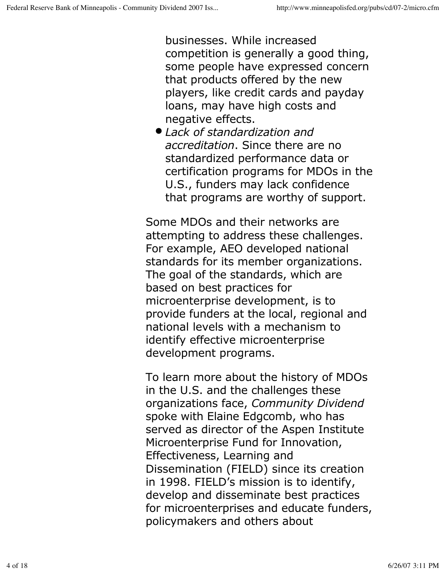businesses. While increased competition is generally a good thing, some people have expressed concern that products offered by the new players, like credit cards and payday loans, may have high costs and negative effects.

*Lack of standardization and accreditation*. Since there are no standardized performance data or certification programs for MDOs in the U.S., funders may lack confidence that programs are worthy of support.

Some MDOs and their networks are attempting to address these challenges. For example, AEO developed national standards for its member organizations. The goal of the standards, which are based on best practices for microenterprise development, is to provide funders at the local, regional and national levels with a mechanism to identify effective microenterprise development programs.

To learn more about the history of MDOs in the U.S. and the challenges these organizations face, *Community Dividend* spoke with Elaine Edgcomb, who has served as director of the Aspen Institute Microenterprise Fund for Innovation, Effectiveness, Learning and Dissemination (FIELD) since its creation in 1998. FIELD's mission is to identify, develop and disseminate best practices for microenterprises and educate funders, policymakers and others about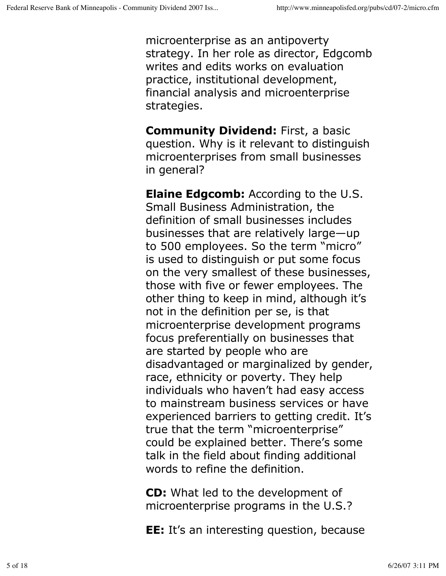microenterprise as an antipoverty strategy. In her role as director, Edgcomb writes and edits works on evaluation practice, institutional development, financial analysis and microenterprise strategies.

**Community Dividend:** First, a basic question. Why is it relevant to distinguish microenterprises from small businesses in general?

**Elaine Edgcomb:** According to the U.S. Small Business Administration, the definition of small businesses includes businesses that are relatively large—up to 500 employees. So the term "micro" is used to distinguish or put some focus on the very smallest of these businesses, those with five or fewer employees. The other thing to keep in mind, although it's not in the definition per se, is that microenterprise development programs focus preferentially on businesses that are started by people who are disadvantaged or marginalized by gender, race, ethnicity or poverty. They help individuals who haven't had easy access to mainstream business services or have experienced barriers to getting credit. It's true that the term "microenterprise" could be explained better. There's some talk in the field about finding additional words to refine the definition.

**CD:** What led to the development of microenterprise programs in the U.S.?

**EE:** It's an interesting question, because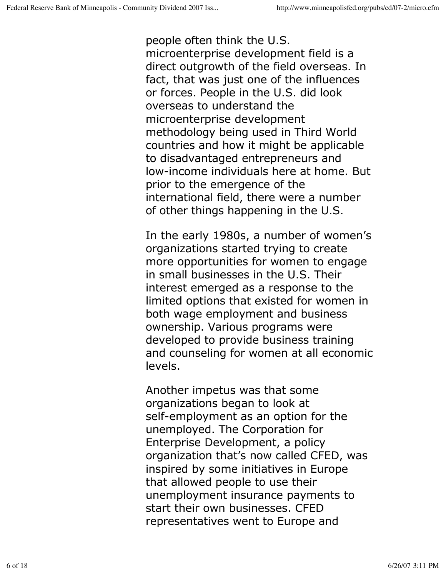people often think the U.S. microenterprise development field is a direct outgrowth of the field overseas. In fact, that was just one of the influences or forces. People in the U.S. did look overseas to understand the microenterprise development methodology being used in Third World countries and how it might be applicable to disadvantaged entrepreneurs and low-income individuals here at home. But prior to the emergence of the international field, there were a number of other things happening in the U.S.

In the early 1980s, a number of women's organizations started trying to create more opportunities for women to engage in small businesses in the U.S. Their interest emerged as a response to the limited options that existed for women in both wage employment and business ownership. Various programs were developed to provide business training and counseling for women at all economic levels.

Another impetus was that some organizations began to look at self-employment as an option for the unemployed. The Corporation for Enterprise Development, a policy organization that's now called CFED, was inspired by some initiatives in Europe that allowed people to use their unemployment insurance payments to start their own businesses. CFED representatives went to Europe and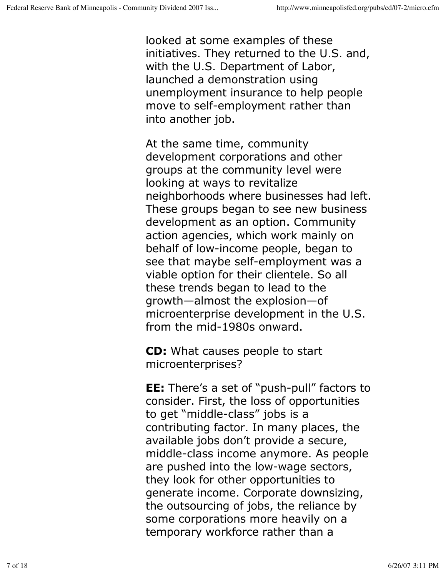looked at some examples of these initiatives. They returned to the U.S. and, with the U.S. Department of Labor, launched a demonstration using unemployment insurance to help people move to self-employment rather than into another job.

At the same time, community development corporations and other groups at the community level were looking at ways to revitalize neighborhoods where businesses had left. These groups began to see new business development as an option. Community action agencies, which work mainly on behalf of low-income people, began to see that maybe self-employment was a viable option for their clientele. So all these trends began to lead to the growth—almost the explosion—of microenterprise development in the U.S. from the mid-1980s onward.

**CD:** What causes people to start microenterprises?

**EE:** There's a set of "push-pull" factors to consider. First, the loss of opportunities to get "middle-class" jobs is a contributing factor. In many places, the available jobs don't provide a secure, middle-class income anymore. As people are pushed into the low-wage sectors, they look for other opportunities to generate income. Corporate downsizing, the outsourcing of jobs, the reliance by some corporations more heavily on a temporary workforce rather than a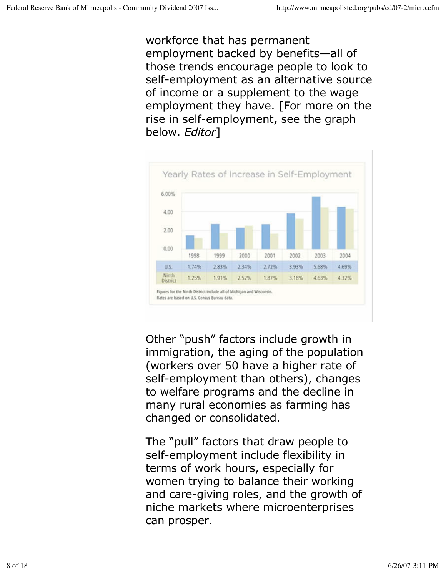workforce that has permanent employment backed by benefits—all of those trends encourage people to look to self-employment as an alternative source of income or a supplement to the wage employment they have. [For more on the rise in self-employment, see the graph below. *Editor*]



Other "push" factors include growth in immigration, the aging of the population (workers over 50 have a higher rate of self-employment than others), changes to welfare programs and the decline in many rural economies as farming has changed or consolidated.

The "pull" factors that draw people to self-employment include flexibility in terms of work hours, especially for women trying to balance their working and care-giving roles, and the growth of niche markets where microenterprises can prosper.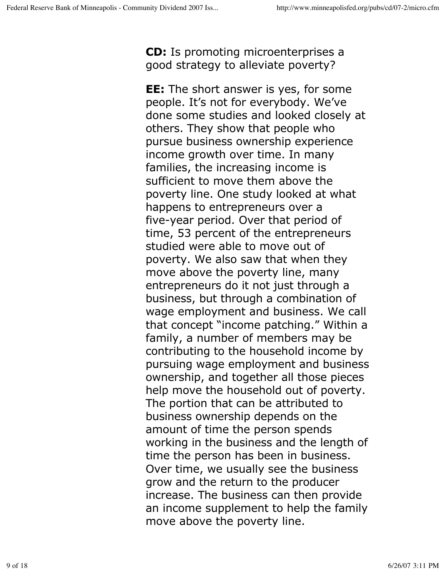**CD:** Is promoting microenterprises a good strategy to alleviate poverty?

**EE:** The short answer is yes, for some people. It's not for everybody. We've done some studies and looked closely at others. They show that people who pursue business ownership experience income growth over time. In many families, the increasing income is sufficient to move them above the poverty line. One study looked at what happens to entrepreneurs over a five-year period. Over that period of time, 53 percent of the entrepreneurs studied were able to move out of poverty. We also saw that when they move above the poverty line, many entrepreneurs do it not just through a business, but through a combination of wage employment and business. We call that concept "income patching." Within a family, a number of members may be contributing to the household income by pursuing wage employment and business ownership, and together all those pieces help move the household out of poverty. The portion that can be attributed to business ownership depends on the amount of time the person spends working in the business and the length of time the person has been in business. Over time, we usually see the business grow and the return to the producer increase. The business can then provide an income supplement to help the family move above the poverty line.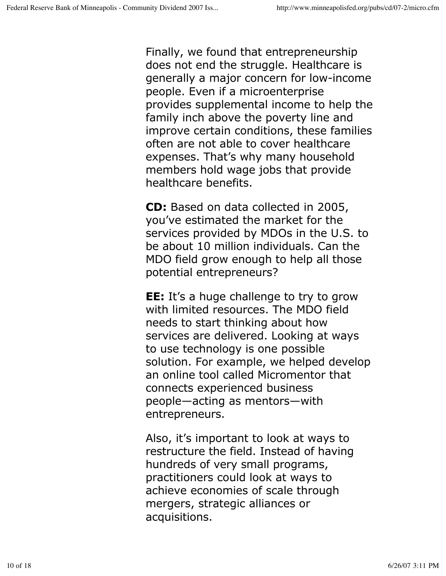Finally, we found that entrepreneurship does not end the struggle. Healthcare is generally a major concern for low-income people. Even if a microenterprise provides supplemental income to help the family inch above the poverty line and improve certain conditions, these families often are not able to cover healthcare expenses. That's why many household members hold wage jobs that provide healthcare benefits.

**CD:** Based on data collected in 2005, you've estimated the market for the services provided by MDOs in the U.S. to be about 10 million individuals. Can the MDO field grow enough to help all those potential entrepreneurs?

**EE:** It's a huge challenge to try to grow with limited resources. The MDO field needs to start thinking about how services are delivered. Looking at ways to use technology is one possible solution. For example, we helped develop an online tool called Micromentor that connects experienced business people—acting as mentors—with entrepreneurs.

Also, it's important to look at ways to restructure the field. Instead of having hundreds of very small programs, practitioners could look at ways to achieve economies of scale through mergers, strategic alliances or acquisitions.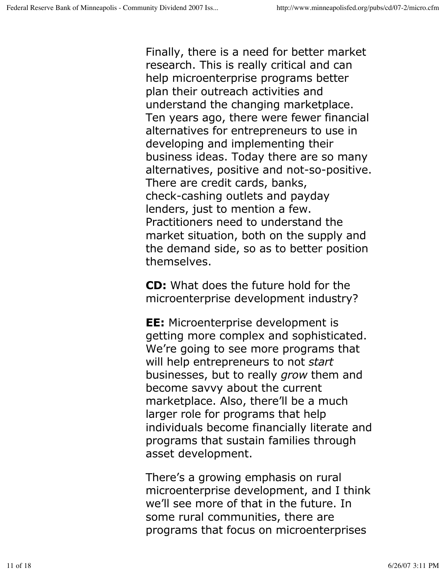Finally, there is a need for better market research. This is really critical and can help microenterprise programs better plan their outreach activities and understand the changing marketplace. Ten years ago, there were fewer financial alternatives for entrepreneurs to use in developing and implementing their business ideas. Today there are so many alternatives, positive and not-so-positive. There are credit cards, banks, check-cashing outlets and payday lenders, just to mention a few. Practitioners need to understand the market situation, both on the supply and the demand side, so as to better position themselves.

**CD:** What does the future hold for the microenterprise development industry?

**EE:** Microenterprise development is getting more complex and sophisticated. We're going to see more programs that will help entrepreneurs to not *start* businesses, but to really *grow* them and become savvy about the current marketplace. Also, there'll be a much larger role for programs that help individuals become financially literate and programs that sustain families through asset development.

There's a growing emphasis on rural microenterprise development, and I think we'll see more of that in the future. In some rural communities, there are programs that focus on microenterprises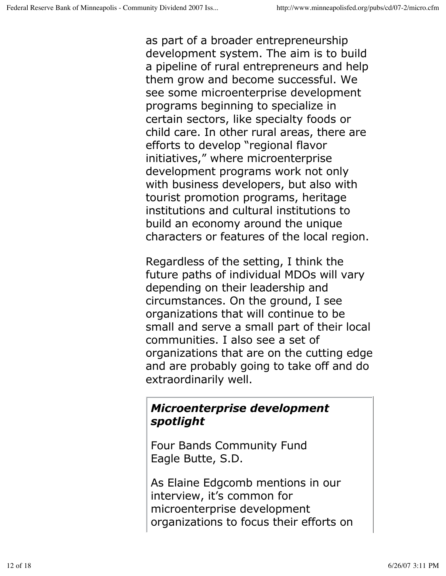as part of a broader entrepreneurship development system. The aim is to build a pipeline of rural entrepreneurs and help them grow and become successful. We see some microenterprise development programs beginning to specialize in certain sectors, like specialty foods or child care. In other rural areas, there are efforts to develop "regional flavor initiatives," where microenterprise development programs work not only with business developers, but also with tourist promotion programs, heritage institutions and cultural institutions to build an economy around the unique characters or features of the local region.

Regardless of the setting, I think the future paths of individual MDOs will vary depending on their leadership and circumstances. On the ground, I see organizations that will continue to be small and serve a small part of their local communities. I also see a set of organizations that are on the cutting edge and are probably going to take off and do extraordinarily well.

## *Microenterprise development spotlight*

Four Bands Community Fund Eagle Butte, S.D.

As Elaine Edgcomb mentions in our interview, it's common for microenterprise development organizations to focus their efforts on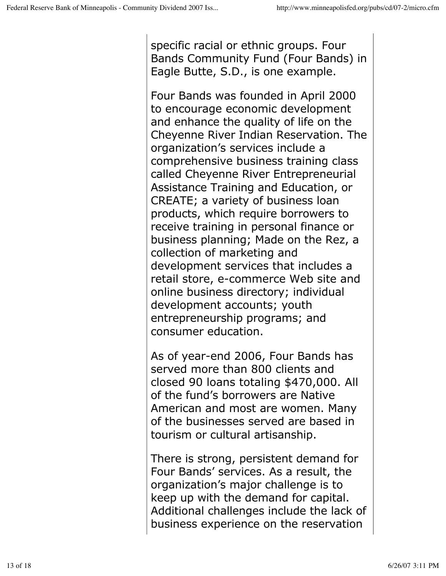specific racial or ethnic groups. Four Bands Community Fund (Four Bands) in Eagle Butte, S.D., is one example.

Four Bands was founded in April 2000 to encourage economic development and enhance the quality of life on the Cheyenne River Indian Reservation. The organization's services include a comprehensive business training class called Cheyenne River Entrepreneurial Assistance Training and Education, or CREATE; a variety of business loan products, which require borrowers to receive training in personal finance or business planning; Made on the Rez, a collection of marketing and development services that includes a retail store, e-commerce Web site and online business directory; individual development accounts; youth entrepreneurship programs; and consumer education.

As of year-end 2006, Four Bands has served more than 800 clients and closed 90 loans totaling \$470,000. All of the fund's borrowers are Native American and most are women. Many of the businesses served are based in tourism or cultural artisanship.

There is strong, persistent demand for Four Bands' services. As a result, the organization's major challenge is to keep up with the demand for capital. Additional challenges include the lack of business experience on the reservation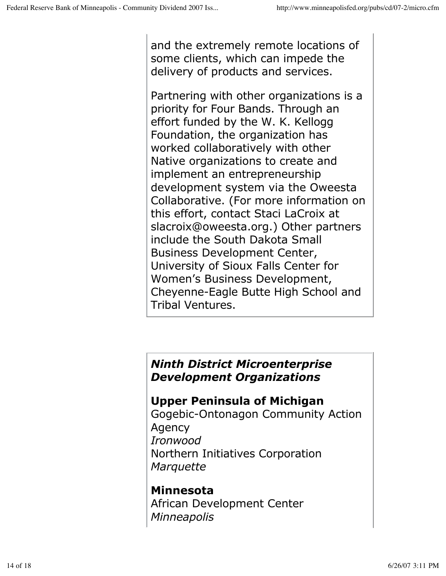and the extremely remote locations of some clients, which can impede the delivery of products and services.

Partnering with other organizations is a priority for Four Bands. Through an effort funded by the W. K. Kellogg Foundation, the organization has worked collaboratively with other Native organizations to create and implement an entrepreneurship development system via the Oweesta Collaborative. (For more information on this effort, contact Staci LaCroix at slacroix@oweesta.org.) Other partners include the South Dakota Small Business Development Center, University of Sioux Falls Center for Women's Business Development, Cheyenne-Eagle Butte High School and Tribal Ventures.

## *Ninth District Microenterprise Development Organizations*

#### **Upper Peninsula of Michigan**

Gogebic-Ontonagon Community Action Agency *Ironwood* Northern Initiatives Corporation *Marquette*

#### **Minnesota**

African Development Center *Minneapolis*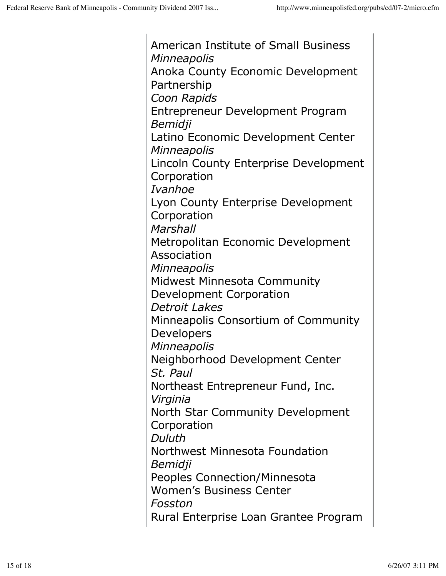American Institute of Small Business *Minneapolis* Anoka County Economic Development Partnership *Coon Rapids*  Entrepreneur Development Program *Bemidji* Latino Economic Development Center *Minneapolis* Lincoln County Enterprise Development Corporation *Ivanhoe* Lyon County Enterprise Development **Corporation** *Marshall* Metropolitan Economic Development Association *Minneapolis* Midwest Minnesota Community Development Corporation *Detroit Lakes* Minneapolis Consortium of Community Developers *Minneapolis* Neighborhood Development Center *St. Paul* Northeast Entrepreneur Fund, Inc. *Virginia* North Star Community Development Corporation *Duluth* Northwest Minnesota Foundation *Bemidji* Peoples Connection/Minnesota Women's Business Center *Fosston* Rural Enterprise Loan Grantee Program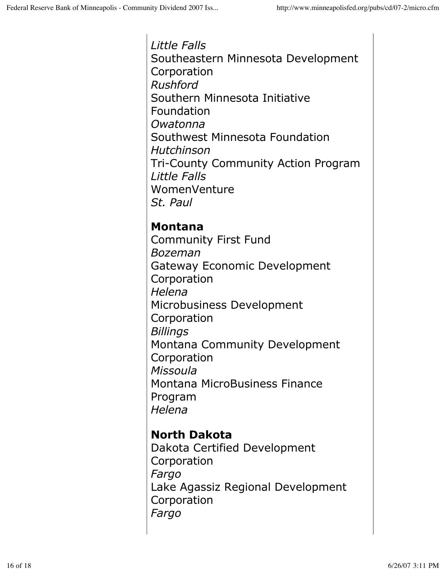*Little Falls* Southeastern Minnesota Development Corporation *Rushford* Southern Minnesota Initiative Foundation *Owatonna* Southwest Minnesota Foundation *Hutchinson* Tri-County Community Action Program *Little Falls* WomenVenture *St. Paul* 

## **Montana**

Community First Fund *Bozeman* Gateway Economic Development Corporation *Helena* Microbusiness Development Corporation *Billings* Montana Community Development Corporation *Missoula* Montana MicroBusiness Finance Program *Helena*

## **North Dakota**

Dakota Certified Development Corporation *Fargo* Lake Agassiz Regional Development Corporation *Fargo*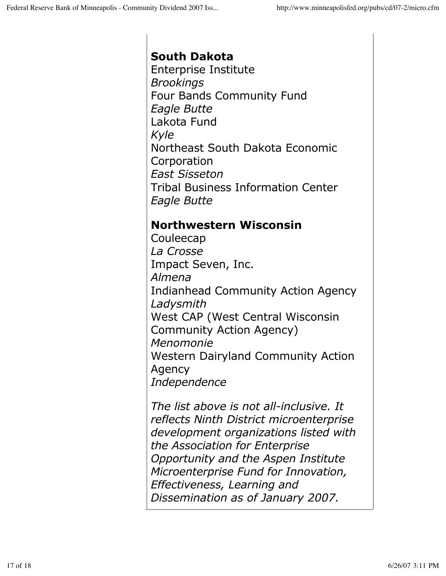# **South Dakota**

Enterprise Institute *Brookings* Four Bands Community Fund *Eagle Butte*  Lakota Fund *Kyle* Northeast South Dakota Economic Corporation *East Sisseton* Tribal Business Information Center *Eagle Butte*

## **Northwestern Wisconsin**

Couleecap *La Crosse* Impact Seven, Inc. *Almena* Indianhead Community Action Agency *Ladysmith* West CAP (West Central Wisconsin Community Action Agency) *Menomonie* Western Dairyland Community Action Agency *Independence*

*The list above is not all-inclusive. It reflects Ninth District microenterprise development organizations listed with the Association for Enterprise Opportunity and the Aspen Institute Microenterprise Fund for Innovation, Effectiveness, Learning and Dissemination as of January 2007.*